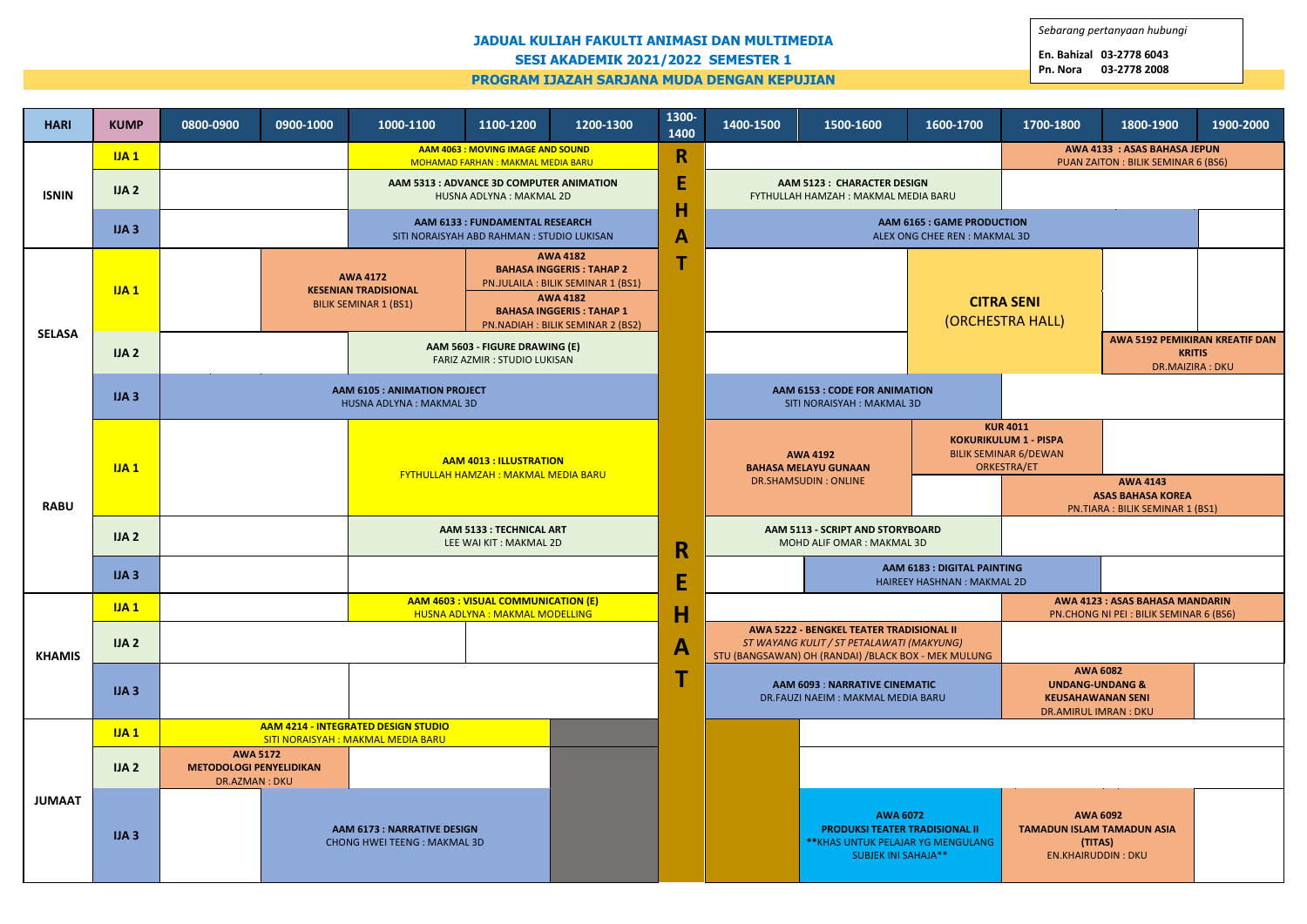## **JADUAL KULIAH FAKULTI ANIMASI DAN MULTIMEDIA SESI AKADEMIK 2021/2022 SEMESTER 1 PROGRAM IJAZAH SARJANA MUDA DENGAN KEPUJIAN**

| <b>HARI</b>   | <b>KUMP</b> | 0800-0900                                                                | 0900-1000 | 1000-1100                                                                          | 1100-1200                                                                                                                                                                           | 1200-1300 | 1300-<br>1400 | 1400-1500                                                                                                                                    | 1500-1600 | 1600-1700                             | 1700-1800                                                                                             | 1800-1900 | 1900-2000                                                                 |
|---------------|-------------|--------------------------------------------------------------------------|-----------|------------------------------------------------------------------------------------|-------------------------------------------------------------------------------------------------------------------------------------------------------------------------------------|-----------|---------------|----------------------------------------------------------------------------------------------------------------------------------------------|-----------|---------------------------------------|-------------------------------------------------------------------------------------------------------|-----------|---------------------------------------------------------------------------|
| <b>ISNIN</b>  | IJA1        |                                                                          |           | AAM 4063 : MOVING IMAGE AND SOUND<br>MOHAMAD FARHAN: MAKMAL MEDIA BARU             |                                                                                                                                                                                     |           | R             |                                                                                                                                              |           |                                       | <b>AWA 4133 : ASAS BAHASA JEPUN</b><br>PUAN ZAITON : BILIK SEMINAR 6 (BS6)                            |           |                                                                           |
|               | IJA2        |                                                                          |           |                                                                                    | AAM 5313 : ADVANCE 3D COMPUTER ANIMATION<br>HUSNA ADLYNA : MAKMAL 2D                                                                                                                |           | E<br>H        | <b>AAM 5123: CHARACTER DESIGN</b><br>FYTHULLAH HAMZAH: MAKMAL MEDIA BARU                                                                     |           |                                       |                                                                                                       |           |                                                                           |
|               | IJA3        |                                                                          |           | <b>AAM 6133: FUNDAMENTAL RESEARCH</b><br>SITI NORAISYAH ABD RAHMAN: STUDIO LUKISAN |                                                                                                                                                                                     |           | $\mathbf{A}$  | AAM 6165 : GAME PRODUCTION<br>ALEX ONG CHEE REN : MAKMAL 3D                                                                                  |           |                                       |                                                                                                       |           |                                                                           |
| <b>SELASA</b> | IJA1        |                                                                          |           | <b>AWA 4172</b><br><b>KESENIAN TRADISIONAL</b><br><b>BILIK SEMINAR 1 (BS1)</b>     | <b>AWA 4182</b><br><b>BAHASA INGGERIS: TAHAP 2</b><br>PN.JULAILA : BILIK SEMINAR 1 (BS1)<br><b>AWA 4182</b><br><b>BAHASA INGGERIS: TAHAP 1</b><br>PN.NADIAH : BILIK SEMINAR 2 (BS2) |           | ÷             |                                                                                                                                              |           | <b>CITRA SENI</b><br>(ORCHESTRA HALL) |                                                                                                       |           |                                                                           |
|               | IJA2        |                                                                          |           | AAM 5603 - FIGURE DRAWING (E)<br>FARIZ AZMIR : STUDIO LUKISAN                      |                                                                                                                                                                                     |           |               |                                                                                                                                              |           |                                       |                                                                                                       |           | AWA 5192 PEMIKIRAN KREATIF DAN<br><b>KRITIS</b><br><b>DR.MAIZIRA: DKU</b> |
|               | IJA3        |                                                                          |           | <b>AAM 6105 : ANIMATION PROJECT</b><br>HUSNA ADLYNA : MAKMAL 3D                    |                                                                                                                                                                                     |           |               | <b>AAM 6153: CODE FOR ANIMATION</b><br>SITI NORAISYAH : MAKMAL 3D                                                                            |           |                                       |                                                                                                       |           |                                                                           |
| <b>RABU</b>   | IJA1        |                                                                          |           | <b>AAM 4013 : ILLUSTRATION</b><br><b>FYTHULLAH HAMZAH: MAKMAL MEDIA BARU</b>       |                                                                                                                                                                                     |           |               | <b>AWA 4192</b><br><b>BAHASA MELAYU GUNAAN</b>                                                                                               |           |                                       | <b>KUR 4011</b><br><b>KOKURIKULUM 1 - PISPA</b><br><b>BILIK SEMINAR 6/DEWAN</b><br><b>ORKESTRA/ET</b> |           |                                                                           |
|               |             |                                                                          |           |                                                                                    |                                                                                                                                                                                     |           |               | DR.SHAMSUDIN: ONLINE                                                                                                                         |           |                                       | <b>AWA 4143</b><br><b>ASAS BAHASA KOREA</b><br>PN.TIARA: BILIK SEMINAR 1 (BS1)                        |           |                                                                           |
|               | IJA2        |                                                                          |           | <b>AAM 5133: TECHNICAL ART</b><br>LEE WAI KIT: MAKMAL 2D                           |                                                                                                                                                                                     |           | R             | AAM 5113 - SCRIPT AND STORYBOARD<br>MOHD ALIF OMAR: MAKMAL 3D                                                                                |           |                                       |                                                                                                       |           |                                                                           |
|               | IJA3        |                                                                          |           |                                                                                    |                                                                                                                                                                                     |           | E             | AAM 6183 : DIGITAL PAINTING<br><b>HAIREEY HASHNAN: MAKMAL 2D</b>                                                                             |           |                                       |                                                                                                       |           |                                                                           |
|               | IJA1        |                                                                          |           | AAM 4603 : VISUAL COMMUNICATION (E)<br><b>HUSNA ADLYNA : MAKMAL MODELLING</b>      |                                                                                                                                                                                     |           | Н             | AWA 5222 - BENGKEL TEATER TRADISIONAL II<br>ST WAYANG KULIT / ST PETALAWATI (MAKYUNG)<br>STU (BANGSAWAN) OH (RANDAI) /BLACK BOX - MEK MULUNG |           |                                       | AWA 4123: ASAS BAHASA MANDARIN<br>PN.CHONG NI PEI: BILIK SEMINAR 6 (BS6)                              |           |                                                                           |
| <b>KHAMIS</b> | JAA         |                                                                          |           |                                                                                    |                                                                                                                                                                                     |           | $\mathbf{A}$  |                                                                                                                                              |           |                                       |                                                                                                       |           |                                                                           |
|               | IJA3        |                                                                          |           |                                                                                    |                                                                                                                                                                                     |           |               | <b>AAM 6093 : NARRATIVE CINEMATIC</b><br>DR.FAUZI NAEIM: MAKMAL MEDIA BARU                                                                   |           |                                       | <b>AWA 6082</b><br><b>UNDANG-UNDANG &amp;</b><br><b>KEUSAHAWANAN SENI</b><br>DR.AMIRUL IMRAN: DKU     |           |                                                                           |
| <b>JUMAAT</b> | IJA1        | AAM 4214 - INTEGRATED DESIGN STUDIO<br>SITI NORAISYAH: MAKMAL MEDIA BARU |           |                                                                                    |                                                                                                                                                                                     |           |               |                                                                                                                                              |           |                                       |                                                                                                       |           |                                                                           |
|               | IJA2        | <b>AWA 5172</b><br><b>METODOLOGI PENYELIDIKAN</b><br>DR.AZMAN: DKU       |           |                                                                                    |                                                                                                                                                                                     |           |               |                                                                                                                                              |           |                                       |                                                                                                       |           |                                                                           |
|               | IJA3        |                                                                          |           |                                                                                    | <b>AAM 6173 : NARRATIVE DESIGN</b><br><b>CHONG HWEI TEENG: MAKMAL 3D</b>                                                                                                            |           |               | <b>AWA 6072</b><br><b>PRODUKSI TEATER TRADISIONAL II</b><br>** KHAS UNTUK PELAJAR YG MENGULANG<br><b>SUBJEK INI SAHAJA**</b>                 |           |                                       | <b>AWA 6092</b><br><b>TAMADUN ISLAM TAMADUN ASIA</b><br>(TITAS)<br><b>EN.KHAIRUDDIN: DKU</b>          |           |                                                                           |

*Sebarang pertanyaan hubungi*

**En. Bahizal 03-2778 6043 Pn. Nora 03-2778 2008**